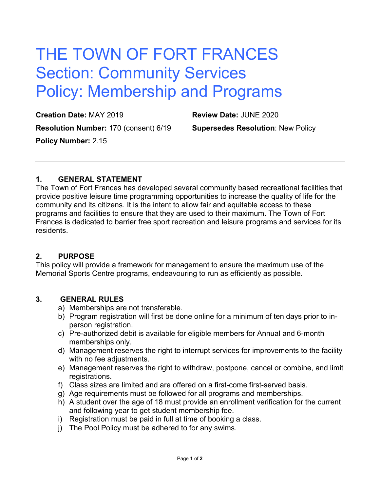# THE TOWN OF FORT FRANCES Section: Community Services Policy: Membership and Programs

**Creation Date:** MAY 2019 **Review Date:** JUNE 2020 **Resolution Number:** 170 (consent) 6/19 **Supersedes Resolution**: New Policy **Policy Number:** 2.15

#### **1. GENERAL STATEMENT**

The Town of Fort Frances has developed several community based recreational facilities that provide positive leisure time programming opportunities to increase the quality of life for the community and its citizens. It is the intent to allow fair and equitable access to these programs and facilities to ensure that they are used to their maximum. The Town of Fort Frances is dedicated to barrier free sport recreation and leisure programs and services for its residents.

#### **2. PURPOSE**

This policy will provide a framework for management to ensure the maximum use of the Memorial Sports Centre programs, endeavouring to run as efficiently as possible.

#### **3. GENERAL RULES**

- a) Memberships are not transferable.
- b) Program registration will first be done online for a minimum of ten days prior to inperson registration.
- c) Pre-authorized debit is available for eligible members for Annual and 6-month memberships only.
- d) Management reserves the right to interrupt services for improvements to the facility with no fee adjustments.
- e) Management reserves the right to withdraw, postpone, cancel or combine, and limit registrations.
- f) Class sizes are limited and are offered on a first-come first-served basis.
- g) Age requirements must be followed for all programs and memberships.
- h) A student over the age of 18 must provide an enrollment verification for the current and following year to get student membership fee.
- i) Registration must be paid in full at time of booking a class.
- j) The Pool Policy must be adhered to for any swims.